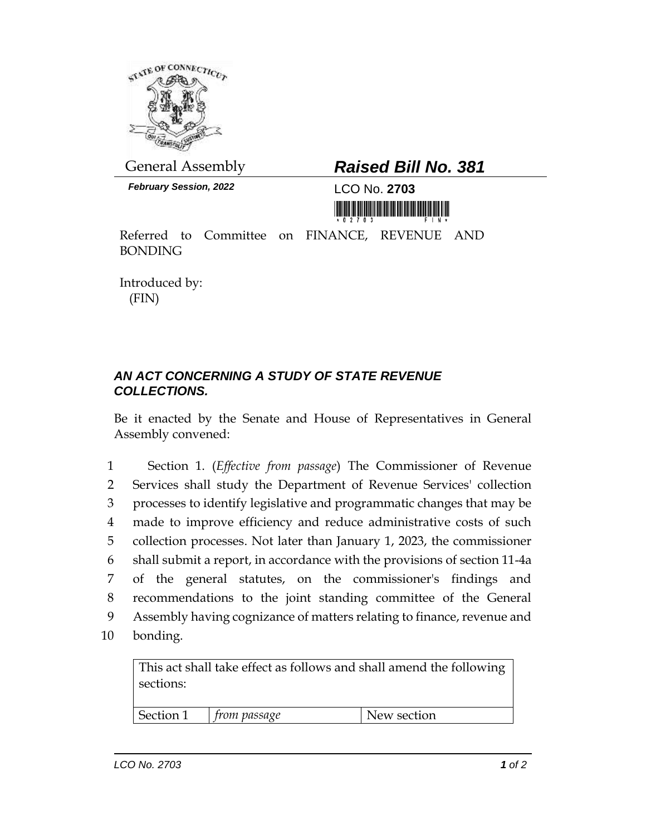

*February Session, 2022* LCO No. **2703**

## General Assembly *Raised Bill No. 381*

<u> III ya matu katika matu wa matu wa matu katika m</u>

Referred to Committee on FINANCE, REVENUE AND BONDING

Introduced by: (FIN)

## *AN ACT CONCERNING A STUDY OF STATE REVENUE COLLECTIONS.*

Be it enacted by the Senate and House of Representatives in General Assembly convened:

 Section 1. (*Effective from passage*) The Commissioner of Revenue Services shall study the Department of Revenue Services' collection processes to identify legislative and programmatic changes that may be made to improve efficiency and reduce administrative costs of such collection processes. Not later than January 1, 2023, the commissioner shall submit a report, in accordance with the provisions of section 11-4a of the general statutes, on the commissioner's findings and recommendations to the joint standing committee of the General Assembly having cognizance of matters relating to finance, revenue and 10 bonding.

This act shall take effect as follows and shall amend the following sections:

Section 1 *from passage* New section